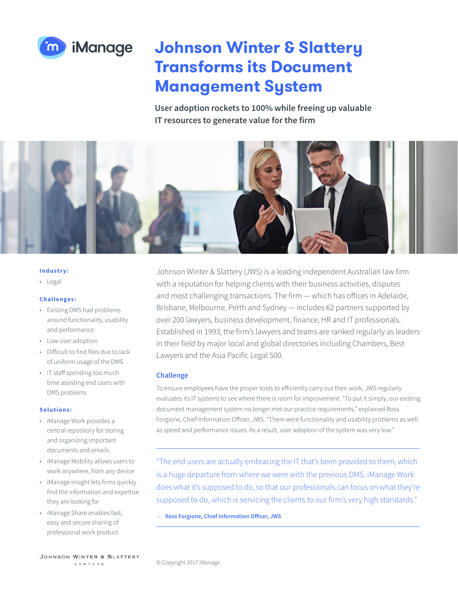

# **Johnson Winter & Slattery Transforms its Document Management System**

**User adoption rockets to 100% while freeing up valuable IT resources to generate value for the firm**



#### **Industry:**

• Legal

# **Challenges:**

- Existing DMS had problems around functionality, usability and performance
- Low user adoption
- Difficult to find files due to lack of uniform usage of the DMS
- IT staff spending too much time assisting end users with DMS problems

#### **Solutions:**

- iManage Work provides a central repository for storing and organizing important documents and emails
- iManage Mobility allows users to work anywhere, from any device
- iManage Insight lets firms quickly find the information and expertise they are looking for
- iManage Share enables fast, easy and secure sharing of professional work product

Johnson Winter & Slattery (JWS) is a leading independent Australian law firm with a reputation for helping clients with their business activities, disputes and most challenging transactions. The firm — which has offices in Adelaide, Brisbane, Melbourne, Perth and Sydney — includes 62 partners supported by over 200 lawyers, business development, finance, HR and IT professionals. Established in 1993, the firm's lawyers and teams are ranked regularly as leaders in their field by major local and global directories including Chambers, Best Lawyers and the Asia Pacific Legal 500.

### **Challenge**

To ensure employees have the proper tools to efficiently carry out their work, JWS regularly evaluates its IT systems to see where there is room for improvement. "To put it simply, our existing document management system no longer met our practice requirements," explained Ross Forgione, Chief Information Officer, JWS. "There were functionality and usability problems as well as speed and performance issues. As a result, user adoption of the system was very low."

"The end users are actually embracing the IT that's been provided to them, which is a huge departure from where we were with the previous DMS. iManage Work does what it's supposed to do, so that our professionals can focus on what they're supposed to do, which is servicing the clients to our firm's very high standards."

— **Ross Forgione, Chief Information Officer, JWS**